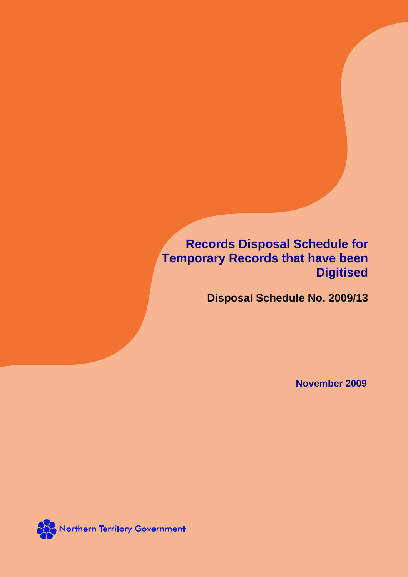**Records Disposal Schedule for Temporary Records that have been Digitised**

**Disposal Schedule No. 2009/13**

**November 2009**

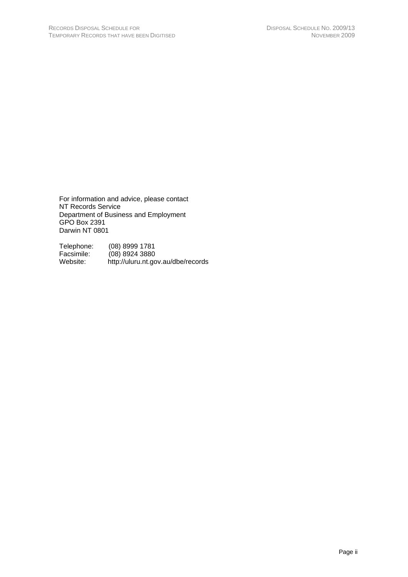For information and advice, please contact NT Records Service Department of Business and Employment GPO Box 2391 Darwin NT 0801

Telephone: (08) 8999 1781<br>Facsimile: (08) 8924 3880 Facsimile: (08) 8924 3880<br>Website: http://uluru.nt.go http://uluru.nt.gov.au/dbe/records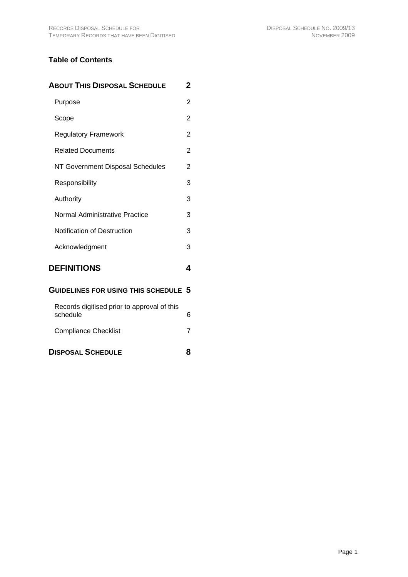# **Table of Contents**

| <b>ABOUT THIS DISPOSAL SCHEDULE</b>                     | 2 |
|---------------------------------------------------------|---|
| Purpose                                                 | 2 |
| Scope                                                   | 2 |
| <b>Regulatory Framework</b>                             | 2 |
| <b>Related Documents</b>                                | 2 |
| NT Government Disposal Schedules                        | 2 |
| Responsibility                                          | 3 |
| Authority                                               | 3 |
| Normal Administrative Practice                          | 3 |
| <b>Notification of Destruction</b>                      | 3 |
| Acknowledgment                                          | 3 |
| <b>DEFINITIONS</b>                                      | 4 |
| <b>GUIDELINES FOR USING THIS SCHEDULE</b>               | 5 |
| Records digitised prior to approval of this<br>schedule | 6 |
| <b>Compliance Checklist</b>                             | 7 |
| <b>DISPOSAL SCHEDULE</b>                                | 8 |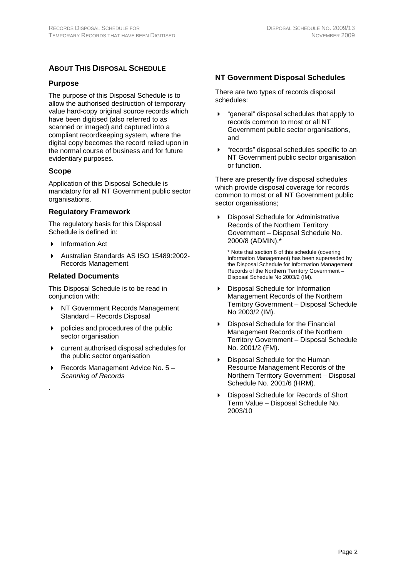# <span id="page-3-0"></span>**ABOUT THIS DISPOSAL SCHEDULE**

### **Purpose**

The purpose of this Disposal Schedule is to allow the authorised destruction of temporary value hard-copy original source records which have been digitised (also referred to as scanned or imaged) and captured into a compliant recordkeeping system, where the digital copy becomes the record relied upon in the normal course of business and for future evidentiary purposes.

### **Scope**

.

Application of this Disposal Schedule is mandatory for all NT Government public sector organisations.

### **Regulatory Framework**

The regulatory basis for this Disposal Schedule is defined in:

- Information Act
- Australian Standards AS ISO 15489:2002- Records Management

### **Related Documents**

This Disposal Schedule is to be read in conjunction with:

- ▶ NT Government Records Management Standard – Records Disposal
- policies and procedures of the public sector organisation
- current authorised disposal schedules for the public sector organisation
- Records Management Advice No. 5 *Scanning of Records*

## **NT Government Disposal Schedules**

There are two types of records disposal schedules:

- "general" disposal schedules that apply to records common to most or all NT Government public sector organisations, and
- "records" disposal schedules specific to an NT Government public sector organisation or function.

There are presently five disposal schedules which provide disposal coverage for records common to most or all NT Government public sector organisations;

 Disposal Schedule for Administrative Records of the Northern Territory Government – Disposal Schedule No. 2000/8 (ADMIN).\*

\* Note that section 6 of this schedule (covering Information Management) has been superseded by the Disposal Schedule for Information Management Records of the Northern Territory Government – Disposal Schedule No 2003/2 (IM).

- Disposal Schedule for Information Management Records of the Northern Territory Government – Disposal Schedule No 2003/2 (IM).
- Disposal Schedule for the Financial Management Records of the Northern Territory Government – Disposal Schedule No. 2001/2 (FM).
- Disposal Schedule for the Human Resource Management Records of the Northern Territory Government – Disposal Schedule No. 2001/6 (HRM).
- Disposal Schedule for Records of Short Term Value – Disposal Schedule No. 2003/10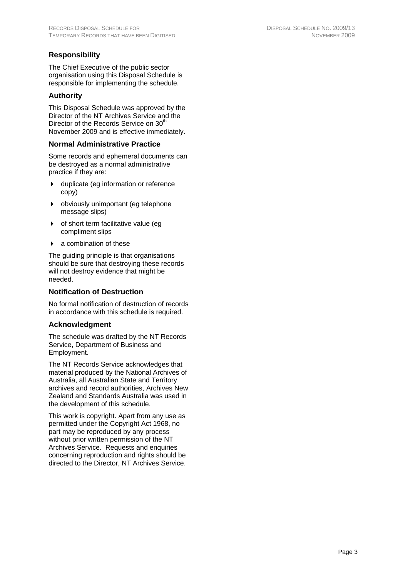# <span id="page-4-0"></span>**Responsibility**

The Chief Executive of the public sector organisation using this Disposal Schedule is responsible for implementing the schedule.

## **Authority**

This Disposal Schedule was approved by the Director of the NT Archives Service and the Director of the Records Service on 30<sup>th</sup> November 2009 and is effective immediately.

### **Normal Administrative Practice**

Some records and ephemeral documents can be destroyed as a normal administrative practice if they are:

- duplicate (eg information or reference copy)
- obviously unimportant (eg telephone message slips)
- of short term facilitative value (eg compliment slips
- a combination of these

The guiding principle is that organisations should be sure that destroying these records will not destroy evidence that might be needed.

## **Notification of Destruction**

No formal notification of destruction of records in accordance with this schedule is required.

### **Acknowledgment**

The schedule was drafted by the NT Records Service, Department of Business and Employment.

The NT Records Service acknowledges that material produced by the National Archives of Australia, all Australian State and Territory archives and record authorities, Archives New Zealand and Standards Australia was used in the development of this schedule.

This work is copyright. Apart from any use as permitted under the Copyright Act 1968, no part may be reproduced by any process without prior written permission of the NT Archives Service. Requests and enquiries concerning reproduction and rights should be directed to the Director, NT Archives Service.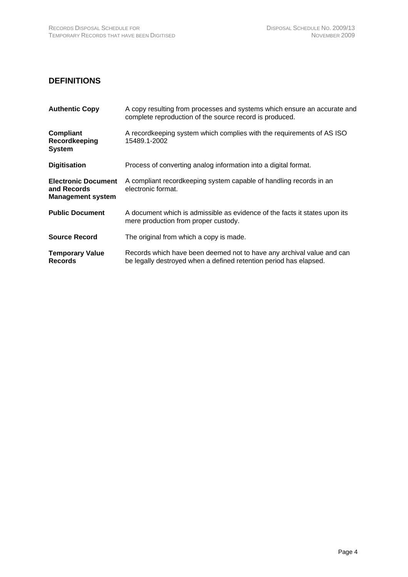# <span id="page-5-0"></span>**DEFINITIONS**

| <b>Authentic Copy</b>                                                 | A copy resulting from processes and systems which ensure an accurate and<br>complete reproduction of the source record is produced.        |
|-----------------------------------------------------------------------|--------------------------------------------------------------------------------------------------------------------------------------------|
| Compliant<br>Recordkeeping<br><b>System</b>                           | A recordkeeping system which complies with the requirements of AS ISO<br>15489.1-2002                                                      |
| <b>Digitisation</b>                                                   | Process of converting analog information into a digital format.                                                                            |
| <b>Electronic Document</b><br>and Records<br><b>Management system</b> | A compliant recordkeeping system capable of handling records in an<br>electronic format.                                                   |
| <b>Public Document</b>                                                | A document which is admissible as evidence of the facts it states upon its<br>mere production from proper custody.                         |
| <b>Source Record</b>                                                  | The original from which a copy is made.                                                                                                    |
| <b>Temporary Value</b><br><b>Records</b>                              | Records which have been deemed not to have any archival value and can<br>be legally destroyed when a defined retention period has elapsed. |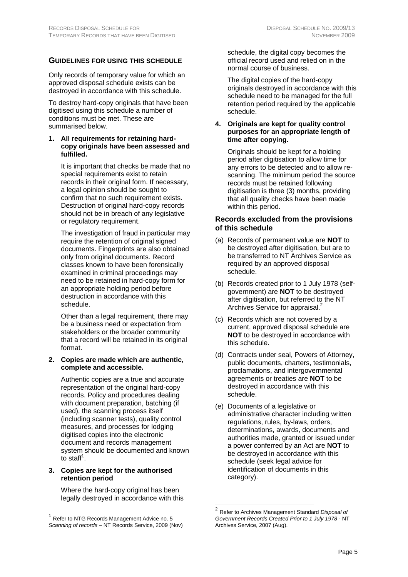<span id="page-6-0"></span>Only records of temporary value for which an approved disposal schedule exists can be destroyed in accordance with this schedule.

To destroy hard-copy originals that have been digitised using this schedule a number of conditions must be met. These are summarised below.

### **1. All requirements for retaining hardcopy originals have been assessed and fulfilled.**

It is important that checks be made that no special requirements exist to retain records in their original form. If necessary, a legal opinion should be sought to confirm that no such requirement exists. Destruction of original hard-copy records should not be in breach of any legislative or regulatory requirement.

The investigation of fraud in particular may require the retention of original signed documents. Fingerprints are also obtained only from original documents. Record classes known to have been forensically examined in criminal proceedings may need to be retained in hard-copy form for an appropriate holding period before destruction in accordance with this schedule.

Other than a legal requirement, there may be a business need or expectation from stakeholders or the broader community that a record will be retained in its original format.

**2. Copies are made which are authentic, complete and accessible.**

Authentic copies are a true and accurate representation of the original hard-copy records. Policy and procedures dealing with document preparation, batching (if used), the scanning process itself (including scanner tests), quality control measures, and processes for lodging digitised copies into the electronic document and records management system should be documented and known to staff<sup>[1](#page-6-1)</sup>.

### **3. Copies are kept for the authorised retention period**

Where the hard-copy original has been legally destroyed in accordance with this

l

schedule, the digital copy becomes the official record used and relied on in the normal course of business.

The digital copies of the hard-copy originals destroyed in accordance with this schedule need to be managed for the full retention period required by the applicable schedule.

### **4. Originals are kept for quality control purposes for an appropriate length of time after copying.**

Originals should be kept for a holding period after digitisation to allow time for any errors to be detected and to allow rescanning. The minimum period the source records must be retained following digitisation is three (3) months, providing that all quality checks have been made within this period.

### **Records excluded from the provisions of this schedule**

- (a) Records of permanent value are **NOT** to be destroyed after digitisation, but are to be transferred to NT Archives Service as required by an approved disposal schedule.
- (b) Records created prior to 1 July 1978 (selfgovernment) are **NOT** to be destroyed after digitisation, but referred to the NT Archives Service for appraisal.<sup>2</sup>
- (c) Records which are not covered by a current, approved disposal schedule are **NOT** to be destroyed in accordance with this schedule.
- (d) Contracts under seal, Powers of Attorney, public documents, charters, testimonials, proclamations, and intergovernmental agreements or treaties are **NOT** to be destroyed in accordance with this schedule.
- (e) Documents of a legislative or administrative character including written regulations, rules, by-laws, orders, determinations, awards, documents and authorities made, granted or issued under a power conferred by an Act are **NOT** to be destroyed in accordance with this schedule (seek legal advice for identification of documents in this category).

<span id="page-6-1"></span> $1$  Refer to NTG Records Management Advice no. 5 *Scanning of records* – NT Records Service, 2009 (Nov)

<span id="page-6-2"></span><sup>2</sup> Refer to Archives Management Standard *Disposal of Government Records Created Prior to 1 July 1978* - NT Archives Service, 2007 (Aug).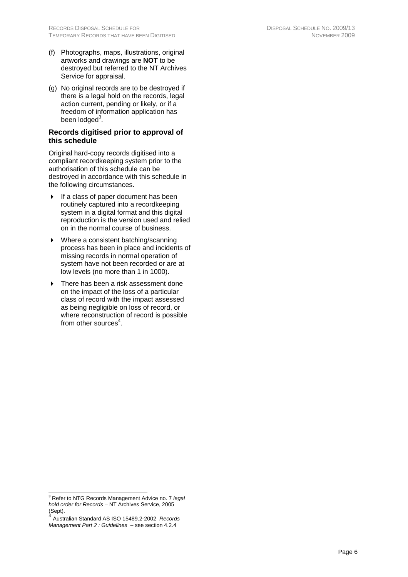- <span id="page-7-0"></span>(f) Photographs, maps, illustrations, original artworks and drawings are **NOT** to be destroyed but referred to the NT Archives Service for appraisal.
- (g) No original records are to be destroyed if there is a legal hold on the records, legal action current, pending or likely, or if a freedom of information application has been lodged<sup>3</sup>.

### **Records digitised prior to approval of this schedule**

Original hard-copy records digitised into a compliant recordkeeping system prior to the authorisation of this schedule can be destroyed in accordance with this schedule in the following circumstances.

- $\triangleright$  If a class of paper document has been routinely captured into a recordkeeping system in a digital format and this digital reproduction is the version used and relied on in the normal course of business.
- ▶ Where a consistent batching/scanning process has been in place and incidents of missing records in normal operation of system have not been recorded or are at low levels (no more than 1 in 1000).
- ▶ There has been a risk assessment done on the impact of the loss of a particular class of record with the impact assessed as being negligible on loss of record, or where reconstruction of record is possible from other sources<sup>[4](#page-7-2)</sup>.

<span id="page-7-1"></span><sup>-&</sup>lt;br>3 Refer to NTG Records Management Advice no. 7 *legal hold order for Records* – NT Archives Service, 2005 (Sept).

<span id="page-7-2"></span><sup>4</sup> Australian Standard AS ISO 15489.2-2002 *Records Management Part 2 : Guidelines* – see section 4.2.4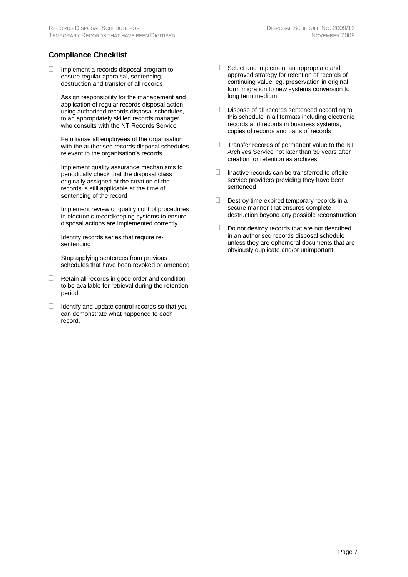# <span id="page-8-0"></span>**Compliance Checklist**

- $\Box$  Implement a records disposal program to ensure regular appraisal, sentencing, destruction and transfer of all records
- $\Box$  Assign responsibility for the management and application of regular records disposal action using authorised records disposal schedules, to an appropriately skilled records manager who consults with the NT Records Service
- $\Box$  Familiarise all employees of the organisation with the authorised records disposal schedules relevant to the organisation's records
- Implement quality assurance mechanisms to periodically check that the disposal class originally assigned at the creation of the records is still applicable at the time of sentencing of the record
- $\Box$  Implement review or quality control procedures in electronic recordkeeping systems to ensure
- $\Box$  Identify records series that require resentencing
- $\Box$  Stop applying sentences from previous schedules that have been revoked or amended
- $\Box$  Retain all records in good order and condition to be available for retrieval during the retention period.
- $\Box$  Identify and update control records so that you can demonstrate what happened to each record.
- $\Box$  Select and implement an appropriate and approved strategy for retention of records of continuing value, eg. preservation in original form migration to new systems conversion to long term medium
- $\Box$  Dispose of all records sentenced according to this schedule in all formats including electronic records and records in business systems, copies of records and parts of records
- $\Box$  Transfer records of permanent value to the NT Archives Service not later than 30 years after creation for retention as archives
- $\Box$  Inactive records can be transferred to offsite service providers providing they have been sentenced
- $\Box$  Destroy time expired temporary records in a secure manner that ensures complete destruction beyond any possible reconstruction
- disposal actions are implemented correctly. Do not destroy records that are not described in an authorised records disposal schedule unless they are ephemeral documents that are obviously duplicate and/or unimportant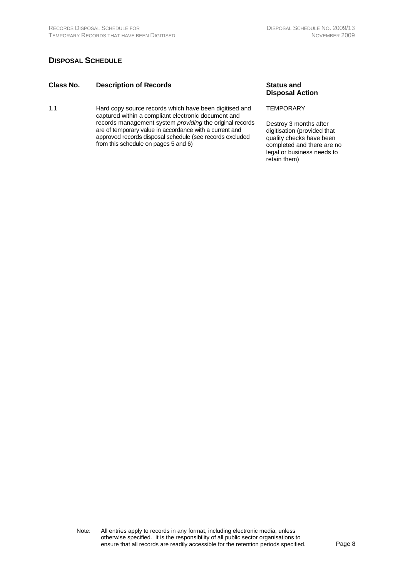## <span id="page-9-0"></span>**DISPOSAL SCHEDULE**

### **Class No. Description of Records Status and**

1.1 Hard copy source records which have been digitised and captured within a compliant electronic document and records management system *providing* the original records are of temporary value in accordance with a current and approved records disposal schedule (see records excluded from this schedule on pages 5 and 6)

**Disposal Action**

#### **TEMPORARY**

Destroy 3 months after digitisation (provided that quality checks have been completed and there are no legal or business needs to retain them)